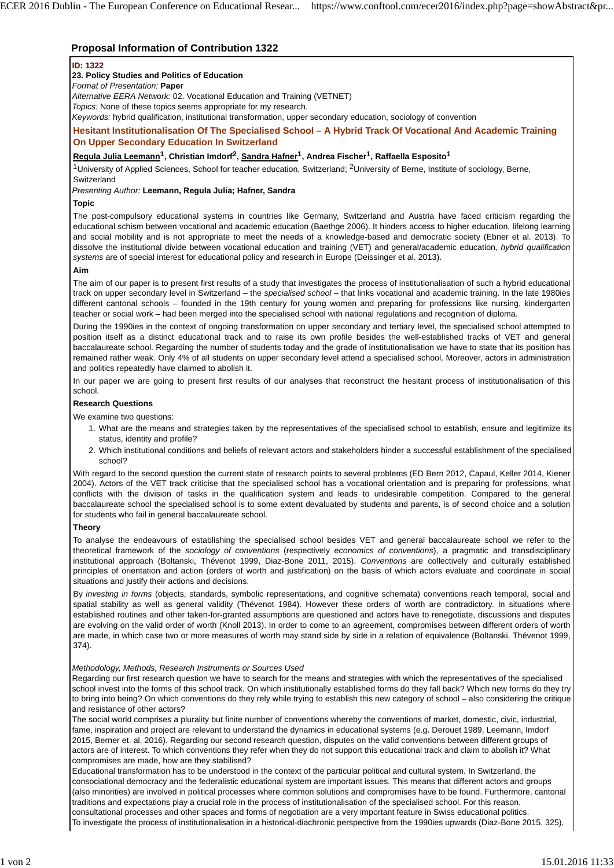# **Proposal Information of Contribution 1322**

### **ID: 1322**

## **23. Policy Studies and Politics of Education**

*Format of Presentation:* **Paper**

*Alternative EERA Network:* 02. Vocational Education and Training (VETNET)

*Topics:* None of these topics seems appropriate for my research.

*Keywords:* hybrid qualification, institutional transformation, upper secondary education, sociology of convention

**Hesitant Institutionalisation Of The Specialised School – A Hybrid Track Of Vocational And Academic Training On Upper Secondary Education In Switzerland**

**Regula Julia Leemann1, Christian Imdorf2, Sandra Hafner1, Andrea Fischer1, Raffaella Esposito1**

<sup>1</sup>University of Applied Sciences, School for teacher education, Switzerland; <sup>2</sup>University of Berne, Institute of sociology, Berne, **Switzerland** 

#### *Presenting Author:* **Leemann, Regula Julia; Hafner, Sandra**

### **Topic**

The post-compulsory educational systems in countries like Germany, Switzerland and Austria have faced criticism regarding the educational schism between vocational and academic education (Baethge 2006). It hinders access to higher education, lifelong learning and social mobility and is not appropriate to meet the needs of a knowledge-based and democratic society (Ebner et al. 2013). To dissolve the institutional divide between vocational education and training (VET) and general/academic education, *hybrid qualification systems* are of special interest for educational policy and research in Europe (Deissinger et al. 2013).

#### **Aim**

The aim of our paper is to present first results of a study that investigates the process of institutionalisation of such a hybrid educational track on upper secondary level in Switzerland – the *specialised school* – that links vocational and academic training. In the late 1980ies different cantonal schools – founded in the 19th century for young women and preparing for professions like nursing, kindergarten teacher or social work – had been merged into the specialised school with national regulations and recognition of diploma.

During the 1990ies in the context of ongoing transformation on upper secondary and tertiary level, the specialised school attempted to position itself as a distinct educational track and to raise its own profile besides the well-established tracks of VET and general baccalaureate school. Regarding the number of students today and the grade of institutionalisation we have to state that its position has remained rather weak. Only 4% of all students on upper secondary level attend a specialised school. Moreover, actors in administration and politics repeatedly have claimed to abolish it.

In our paper we are going to present first results of our analyses that reconstruct the hesitant process of institutionalisation of this school.

# **Research Questions**

We examine two questions:

- 1. What are the means and strategies taken by the representatives of the specialised school to establish, ensure and legitimize its status, identity and profile?
- 2. Which institutional conditions and beliefs of relevant actors and stakeholders hinder a successful establishment of the specialised school?

With regard to the second question the current state of research points to several problems (ED Bern 2012, Capaul, Keller 2014, Kiener 2004). Actors of the VET track criticise that the specialised school has a vocational orientation and is preparing for professions, what conflicts with the division of tasks in the qualification system and leads to undesirable competition. Compared to the general baccalaureate school the specialised school is to some extent devaluated by students and parents, is of second choice and a solution for students who fail in general baccalaureate school.

#### **Theory**

To analyse the endeavours of establishing the specialised school besides VET and general baccalaureate school we refer to the theoretical framework of the *sociology of conventions* (respectively *economics of conventions*), a pragmatic and transdisciplinary institutional approach (Boltanski, Thévenot 1999, Diaz-Bone 2011, 2015). *Conventions* are collectively and culturally established principles of orientation and action (orders of worth and justification) on the basis of which actors evaluate and coordinate in social situations and justify their actions and decisions.

By *investing in forms* (objects, standards, symbolic representations, and cognitive schemata) conventions reach temporal, social and spatial stability as well as general validity (Thévenot 1984). However these orders of worth are contradictory. In situations where established routines and other taken-for-granted assumptions are questioned and actors have to renegotiate, discussions and disputes are evolving on the valid order of worth (Knoll 2013). In order to come to an agreement, compromises between different orders of worth are made, in which case two or more measures of worth may stand side by side in a relation of equivalence (Boltanski, Thévenot 1999, 374).

#### *Methodology, Methods, Research Instruments or Sources Used*

Regarding our first research question we have to search for the means and strategies with which the representatives of the specialised school invest into the forms of this school track. On which institutionally established forms do they fall back? Which new forms do they try to bring into being? On which conventions do they rely while trying to establish this new category of school – also considering the critique and resistance of other actors?

The social world comprises a plurality but finite number of conventions whereby the conventions of market, domestic, civic, industrial, fame, inspiration and project are relevant to understand the dynamics in educational systems (e.g. Derouet 1989, Leemann, Imdorf 2015, Berner et. al. 2016). Regarding our second research question, disputes on the valid conventions between different groups of actors are of interest. To which conventions they refer when they do not support this educational track and claim to abolish it? What compromises are made, how are they stabilised?

Educational transformation has to be understood in the context of the particular political and cultural system. In Switzerland, the consociational democracy and the federalistic educational system are important issues. This means that different actors and groups (also minorities) are involved in political processes where common solutions and compromises have to be found. Furthermore, cantonal traditions and expectations play a crucial role in the process of institutionalisation of the specialised school. For this reason, consultational processes and other spaces and forms of negotiation are a very important feature in Swiss educational politics. To investigate the process of institutionalisation in a historical-diachronic perspective from the 1990ies upwards (Diaz-Bone 2015, 325),